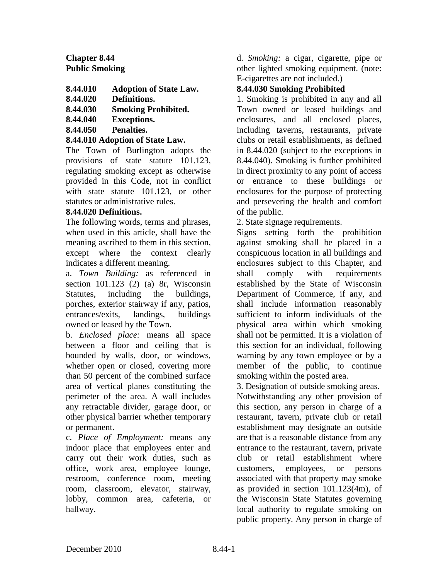# **Chapter 8.44 Public Smoking**

- **8.44.010 Adoption of State Law.**
- **8.44.020 Definitions.**
- **8.44.030 Smoking Prohibited.**
- **8.44.040 Exceptions.**
- **8.44.050 Penalties.**

## **8.44.010 Adoption of State Law.**

The Town of Burlington adopts the provisions of state statute 101.123, regulating smoking except as otherwise provided in this Code, not in conflict with state statute 101.123, or other statutes or administrative rules.

### **8.44.020 Definitions.**

The following words, terms and phrases, when used in this article, shall have the meaning ascribed to them in this section, except where the context clearly indicates a different meaning.

a. *Town Building:* as referenced in section 101.123 (2) (a) 8r, Wisconsin Statutes, including the buildings, porches, exterior stairway if any, patios, entrances/exits, landings, buildings owned or leased by the Town.

b. *Enclosed place:* means all space between a floor and ceiling that is bounded by walls, door, or windows, whether open or closed, covering more than 50 percent of the combined surface area of vertical planes constituting the perimeter of the area. A wall includes any retractable divider, garage door, or other physical barrier whether temporary or permanent.

c. *Place of Employment:* means any indoor place that employees enter and carry out their work duties, such as office, work area, employee lounge, restroom, conference room, meeting room, classroom, elevator, stairway, lobby, common area, cafeteria, or hallway.

d. *Smoking:* a cigar, cigarette, pipe or other lighted smoking equipment. (note: E-cigarettes are not included.)

## **8.44.030 Smoking Prohibited**

1. Smoking is prohibited in any and all Town owned or leased buildings and enclosures, and all enclosed places, including taverns, restaurants, private clubs or retail establishments, as defined in 8.44.020 (subject to the exceptions in 8.44.040). Smoking is further prohibited in direct proximity to any point of access or entrance to these buildings or enclosures for the purpose of protecting and persevering the health and comfort of the public.

2. State signage requirements.

Signs setting forth the prohibition against smoking shall be placed in a conspicuous location in all buildings and enclosures subject to this Chapter, and shall comply with requirements established by the State of Wisconsin Department of Commerce, if any, and shall include information reasonably sufficient to inform individuals of the physical area within which smoking shall not be permitted. It is a violation of this section for an individual, following warning by any town employee or by a member of the public, to continue smoking within the posted area.

3. Designation of outside smoking areas. Notwithstanding any other provision of this section, any person in charge of a restaurant, tavern, private club or retail establishment may designate an outside are that is a reasonable distance from any entrance to the restaurant, tavern, private club or retail establishment where customers, employees, or persons associated with that property may smoke as provided in section 101.123(4m), of the Wisconsin State Statutes governing local authority to regulate smoking on public property. Any person in charge of